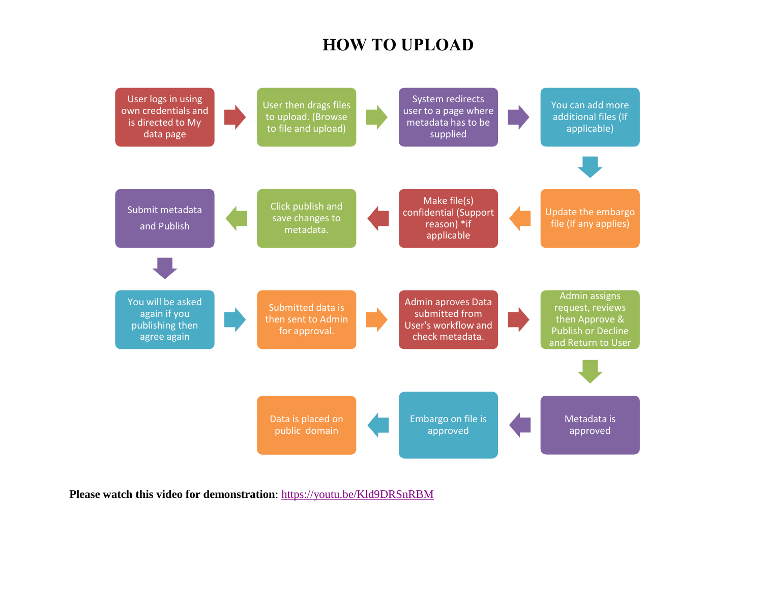## **HOW TO UPLOAD**



**Please watch this video for demonstration**:<https://youtu.be/Kld9DRSnRBM>